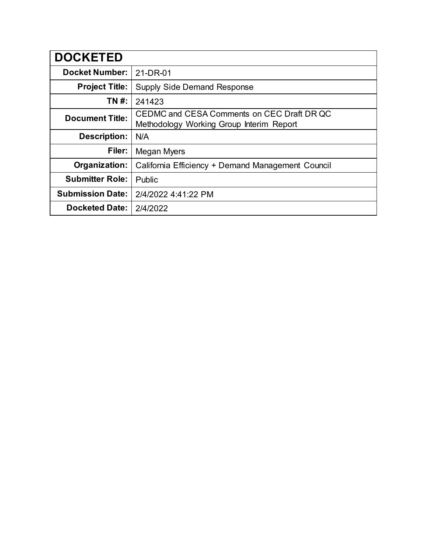| <b>DOCKETED</b>         |                                                                                        |
|-------------------------|----------------------------------------------------------------------------------------|
| <b>Docket Number:</b>   | 21-DR-01                                                                               |
| <b>Project Title:</b>   | <b>Supply Side Demand Response</b>                                                     |
| TN #:                   | 241423                                                                                 |
| <b>Document Title:</b>  | CEDMC and CESA Comments on CEC Draft DR QC<br>Methodology Working Group Interim Report |
| <b>Description:</b>     | N/A                                                                                    |
| Filer:                  | Megan Myers                                                                            |
| Organization:           | California Efficiency + Demand Management Council                                      |
| <b>Submitter Role:</b>  | Public                                                                                 |
| <b>Submission Date:</b> | 2/4/2022 4:41:22 PM                                                                    |
| <b>Docketed Date:</b>   | 2/4/2022                                                                               |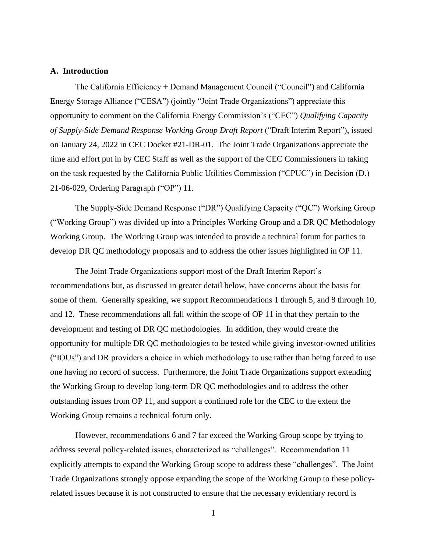#### **A. Introduction**

The California Efficiency + Demand Management Council ("Council") and California Energy Storage Alliance ("CESA") (jointly "Joint Trade Organizations") appreciate this opportunity to comment on the California Energy Commission's ("CEC") *Qualifying Capacity of Supply-Side Demand Response Working Group Draft Report* ("Draft Interim Report"), issued on January 24, 2022 in CEC Docket #21-DR-01. The Joint Trade Organizations appreciate the time and effort put in by CEC Staff as well as the support of the CEC Commissioners in taking on the task requested by the California Public Utilities Commission ("CPUC") in Decision (D.) 21-06-029, Ordering Paragraph ("OP") 11.

The Supply-Side Demand Response ("DR") Qualifying Capacity ("QC") Working Group ("Working Group") was divided up into a Principles Working Group and a DR QC Methodology Working Group. The Working Group was intended to provide a technical forum for parties to develop DR QC methodology proposals and to address the other issues highlighted in OP 11.

The Joint Trade Organizations support most of the Draft Interim Report's recommendations but, as discussed in greater detail below, have concerns about the basis for some of them. Generally speaking, we support Recommendations 1 through 5, and 8 through 10, and 12. These recommendations all fall within the scope of OP 11 in that they pertain to the development and testing of DR QC methodologies. In addition, they would create the opportunity for multiple DR QC methodologies to be tested while giving investor-owned utilities ("IOUs") and DR providers a choice in which methodology to use rather than being forced to use one having no record of success. Furthermore, the Joint Trade Organizations support extending the Working Group to develop long-term DR QC methodologies and to address the other outstanding issues from OP 11, and support a continued role for the CEC to the extent the Working Group remains a technical forum only.

However, recommendations 6 and 7 far exceed the Working Group scope by trying to address several policy-related issues, characterized as "challenges". Recommendation 11 explicitly attempts to expand the Working Group scope to address these "challenges". The Joint Trade Organizations strongly oppose expanding the scope of the Working Group to these policyrelated issues because it is not constructed to ensure that the necessary evidentiary record is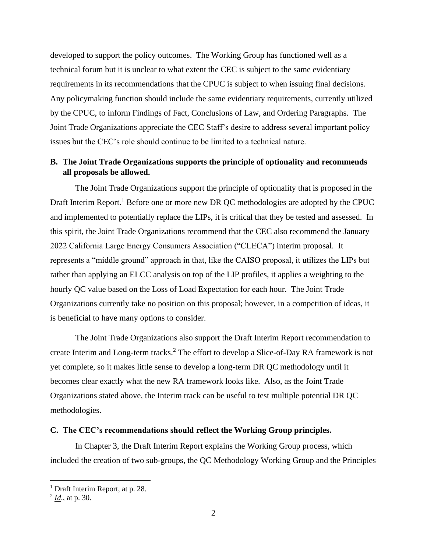developed to support the policy outcomes. The Working Group has functioned well as a technical forum but it is unclear to what extent the CEC is subject to the same evidentiary requirements in its recommendations that the CPUC is subject to when issuing final decisions. Any policymaking function should include the same evidentiary requirements, currently utilized by the CPUC, to inform Findings of Fact, Conclusions of Law, and Ordering Paragraphs. The Joint Trade Organizations appreciate the CEC Staff's desire to address several important policy issues but the CEC's role should continue to be limited to a technical nature.

## **B. The Joint Trade Organizations supports the principle of optionality and recommends all proposals be allowed.**

The Joint Trade Organizations support the principle of optionality that is proposed in the Draft Interim Report.<sup>1</sup> Before one or more new DR QC methodologies are adopted by the CPUC and implemented to potentially replace the LIPs, it is critical that they be tested and assessed. In this spirit, the Joint Trade Organizations recommend that the CEC also recommend the January 2022 California Large Energy Consumers Association ("CLECA") interim proposal. It represents a "middle ground" approach in that, like the CAISO proposal, it utilizes the LIPs but rather than applying an ELCC analysis on top of the LIP profiles, it applies a weighting to the hourly QC value based on the Loss of Load Expectation for each hour. The Joint Trade Organizations currently take no position on this proposal; however, in a competition of ideas, it is beneficial to have many options to consider.

The Joint Trade Organizations also support the Draft Interim Report recommendation to create Interim and Long-term tracks.<sup>2</sup> The effort to develop a Slice-of-Day RA framework is not yet complete, so it makes little sense to develop a long-term DR QC methodology until it becomes clear exactly what the new RA framework looks like. Also, as the Joint Trade Organizations stated above, the Interim track can be useful to test multiple potential DR QC methodologies.

#### **C. The CEC's recommendations should reflect the Working Group principles.**

In Chapter 3, the Draft Interim Report explains the Working Group process, which included the creation of two sub-groups, the QC Methodology Working Group and the Principles

 $<sup>1</sup>$  Draft Interim Report, at p. 28.</sup>

<sup>2</sup> *Id*., at p. 30.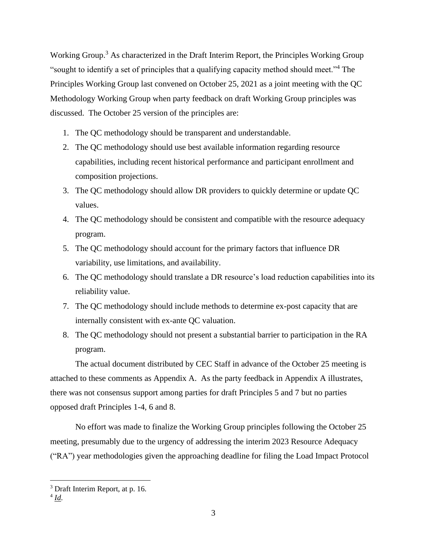Working Group.<sup>3</sup> As characterized in the Draft Interim Report, the Principles Working Group "sought to identify a set of principles that a qualifying capacity method should meet."<sup>4</sup> The Principles Working Group last convened on October 25, 2021 as a joint meeting with the QC Methodology Working Group when party feedback on draft Working Group principles was discussed. The October 25 version of the principles are:

- 1. The QC methodology should be transparent and understandable.
- 2. The QC methodology should use best available information regarding resource capabilities, including recent historical performance and participant enrollment and composition projections.
- 3. The QC methodology should allow DR providers to quickly determine or update QC values.
- 4. The QC methodology should be consistent and compatible with the resource adequacy program.
- 5. The QC methodology should account for the primary factors that influence DR variability, use limitations, and availability.
- 6. The QC methodology should translate a DR resource's load reduction capabilities into its reliability value.
- 7. The QC methodology should include methods to determine ex-post capacity that are internally consistent with ex-ante QC valuation.
- 8. The QC methodology should not present a substantial barrier to participation in the RA program.

The actual document distributed by CEC Staff in advance of the October 25 meeting is attached to these comments as Appendix A. As the party feedback in Appendix A illustrates, there was not consensus support among parties for draft Principles 5 and 7 but no parties opposed draft Principles 1-4, 6 and 8.

No effort was made to finalize the Working Group principles following the October 25 meeting, presumably due to the urgency of addressing the interim 2023 Resource Adequacy ("RA") year methodologies given the approaching deadline for filing the Load Impact Protocol

<sup>3</sup> Draft Interim Report, at p. 16.

<sup>4</sup> *Id*.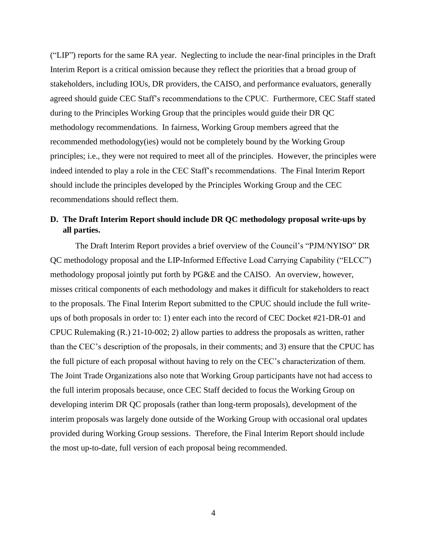("LIP") reports for the same RA year. Neglecting to include the near-final principles in the Draft Interim Report is a critical omission because they reflect the priorities that a broad group of stakeholders, including IOUs, DR providers, the CAISO, and performance evaluators, generally agreed should guide CEC Staff's recommendations to the CPUC. Furthermore, CEC Staff stated during to the Principles Working Group that the principles would guide their DR QC methodology recommendations. In fairness, Working Group members agreed that the recommended methodology(ies) would not be completely bound by the Working Group principles; i.e., they were not required to meet all of the principles. However, the principles were indeed intended to play a role in the CEC Staff's recommendations. The Final Interim Report should include the principles developed by the Principles Working Group and the CEC recommendations should reflect them.

## **D. The Draft Interim Report should include DR QC methodology proposal write-ups by all parties.**

The Draft Interim Report provides a brief overview of the Council's "PJM/NYISO" DR QC methodology proposal and the LIP-Informed Effective Load Carrying Capability ("ELCC") methodology proposal jointly put forth by PG&E and the CAISO. An overview, however, misses critical components of each methodology and makes it difficult for stakeholders to react to the proposals. The Final Interim Report submitted to the CPUC should include the full writeups of both proposals in order to: 1) enter each into the record of CEC Docket #21-DR-01 and CPUC Rulemaking (R.) 21-10-002; 2) allow parties to address the proposals as written, rather than the CEC's description of the proposals, in their comments; and 3) ensure that the CPUC has the full picture of each proposal without having to rely on the CEC's characterization of them. The Joint Trade Organizations also note that Working Group participants have not had access to the full interim proposals because, once CEC Staff decided to focus the Working Group on developing interim DR QC proposals (rather than long-term proposals), development of the interim proposals was largely done outside of the Working Group with occasional oral updates provided during Working Group sessions. Therefore, the Final Interim Report should include the most up-to-date, full version of each proposal being recommended.

4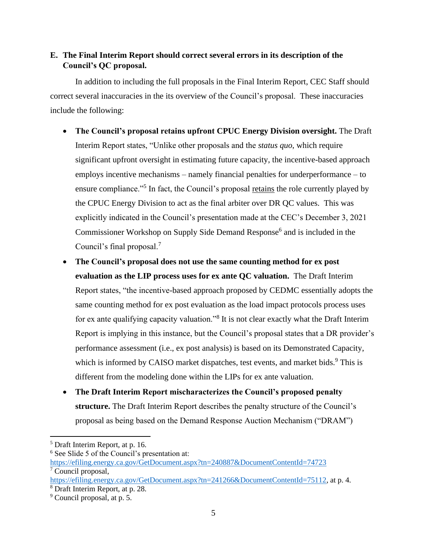# **E. The Final Interim Report should correct several errors in its description of the Council's QC proposal.**

In addition to including the full proposals in the Final Interim Report, CEC Staff should correct several inaccuracies in the its overview of the Council's proposal. These inaccuracies include the following:

- **The Council's proposal retains upfront CPUC Energy Division oversight.** The Draft Interim Report states, "Unlike other proposals and the *status quo*, which require significant upfront oversight in estimating future capacity, the incentive-based approach employs incentive mechanisms – namely financial penalties for underperformance – to ensure compliance."<sup>5</sup> In fact, the Council's proposal <u>retains</u> the role currently played by the CPUC Energy Division to act as the final arbiter over DR QC values. This was explicitly indicated in the Council's presentation made at the CEC's December 3, 2021 Commissioner Workshop on Supply Side Demand Response<sup>6</sup> and is included in the Council's final proposal.<sup>7</sup>
- **The Council's proposal does not use the same counting method for ex post evaluation as the LIP process uses for ex ante QC valuation.** The Draft Interim Report states, "the incentive-based approach proposed by CEDMC essentially adopts the same counting method for ex post evaluation as the load impact protocols process uses for ex ante qualifying capacity valuation."<sup>8</sup> It is not clear exactly what the Draft Interim Report is implying in this instance, but the Council's proposal states that a DR provider's performance assessment (i.e., ex post analysis) is based on its Demonstrated Capacity, which is informed by CAISO market dispatches, test events, and market bids.<sup>9</sup> This is different from the modeling done within the LIPs for ex ante valuation.
- **The Draft Interim Report mischaracterizes the Council's proposed penalty structure.** The Draft Interim Report describes the penalty structure of the Council's proposal as being based on the Demand Response Auction Mechanism ("DRAM")

<sup>5</sup> Draft Interim Report, at p. 16.

<sup>6</sup> See Slide 5 of the Council's presentation at:

<https://efiling.energy.ca.gov/GetDocument.aspx?tn=240887&DocumentContentId=74723> <sup>7</sup> Council proposal,

[https://efiling.energy.ca.gov/GetDocument.aspx?tn=241266&DocumentContentId=75112,](https://efiling.energy.ca.gov/GetDocument.aspx?tn=241266&DocumentContentId=75112) at p. 4.

<sup>8</sup> Draft Interim Report, at p. 28.

<sup>9</sup> Council proposal, at p. 5.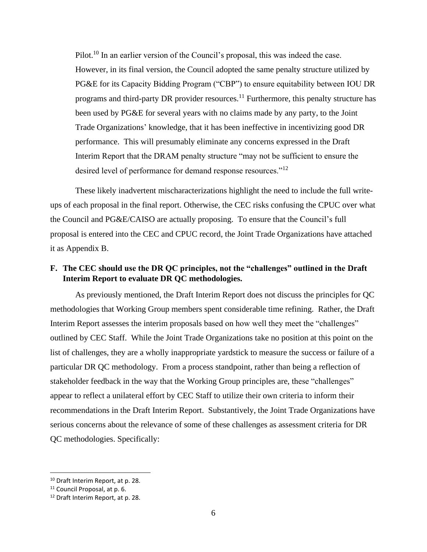Pilot.<sup>10</sup> In an earlier version of the Council's proposal, this was indeed the case. However, in its final version, the Council adopted the same penalty structure utilized by PG&E for its Capacity Bidding Program ("CBP") to ensure equitability between IOU DR programs and third-party DR provider resources.<sup>11</sup> Furthermore, this penalty structure has been used by PG&E for several years with no claims made by any party, to the Joint Trade Organizations' knowledge, that it has been ineffective in incentivizing good DR performance. This will presumably eliminate any concerns expressed in the Draft Interim Report that the DRAM penalty structure "may not be sufficient to ensure the desired level of performance for demand response resources."<sup>12</sup>

These likely inadvertent mischaracterizations highlight the need to include the full writeups of each proposal in the final report. Otherwise, the CEC risks confusing the CPUC over what the Council and PG&E/CAISO are actually proposing. To ensure that the Council's full proposal is entered into the CEC and CPUC record, the Joint Trade Organizations have attached it as Appendix B.

## **F. The CEC should use the DR QC principles, not the "challenges" outlined in the Draft Interim Report to evaluate DR QC methodologies.**

As previously mentioned, the Draft Interim Report does not discuss the principles for QC methodologies that Working Group members spent considerable time refining. Rather, the Draft Interim Report assesses the interim proposals based on how well they meet the "challenges" outlined by CEC Staff. While the Joint Trade Organizations take no position at this point on the list of challenges, they are a wholly inappropriate yardstick to measure the success or failure of a particular DR QC methodology. From a process standpoint, rather than being a reflection of stakeholder feedback in the way that the Working Group principles are, these "challenges" appear to reflect a unilateral effort by CEC Staff to utilize their own criteria to inform their recommendations in the Draft Interim Report. Substantively, the Joint Trade Organizations have serious concerns about the relevance of some of these challenges as assessment criteria for DR QC methodologies. Specifically:

<sup>10</sup> Draft Interim Report, at p. 28.

<sup>&</sup>lt;sup>11</sup> Council Proposal, at p. 6.

<sup>12</sup> Draft Interim Report, at p. 28.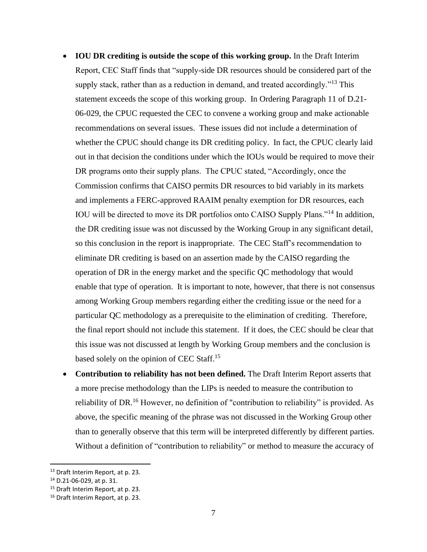- **IOU DR crediting is outside the scope of this working group.** In the Draft Interim Report, CEC Staff finds that "supply-side DR resources should be considered part of the supply stack, rather than as a reduction in demand, and treated accordingly."<sup>13</sup> This statement exceeds the scope of this working group. In Ordering Paragraph 11 of D.21- 06-029, the CPUC requested the CEC to convene a working group and make actionable recommendations on several issues. These issues did not include a determination of whether the CPUC should change its DR crediting policy. In fact, the CPUC clearly laid out in that decision the conditions under which the IOUs would be required to move their DR programs onto their supply plans. The CPUC stated, "Accordingly, once the Commission confirms that CAISO permits DR resources to bid variably in its markets and implements a FERC-approved RAAIM penalty exemption for DR resources, each IOU will be directed to move its DR portfolios onto CAISO Supply Plans."<sup>14</sup> In addition, the DR crediting issue was not discussed by the Working Group in any significant detail, so this conclusion in the report is inappropriate. The CEC Staff's recommendation to eliminate DR crediting is based on an assertion made by the CAISO regarding the operation of DR in the energy market and the specific QC methodology that would enable that type of operation. It is important to note, however, that there is not consensus among Working Group members regarding either the crediting issue or the need for a particular QC methodology as a prerequisite to the elimination of crediting. Therefore, the final report should not include this statement. If it does, the CEC should be clear that this issue was not discussed at length by Working Group members and the conclusion is based solely on the opinion of CEC Staff.<sup>15</sup>
- **Contribution to reliability has not been defined.** The Draft Interim Report asserts that a more precise methodology than the LIPs is needed to measure the contribution to reliability of DR.<sup>16</sup> However, no definition of "contribution to reliability" is provided. As above, the specific meaning of the phrase was not discussed in the Working Group other than to generally observe that this term will be interpreted differently by different parties. Without a definition of "contribution to reliability" or method to measure the accuracy of

<sup>&</sup>lt;sup>13</sup> Draft Interim Report, at p. 23.

<sup>14</sup> D.21-06-029, at p. 31.

<sup>&</sup>lt;sup>15</sup> Draft Interim Report, at p. 23.

<sup>16</sup> Draft Interim Report, at p. 23.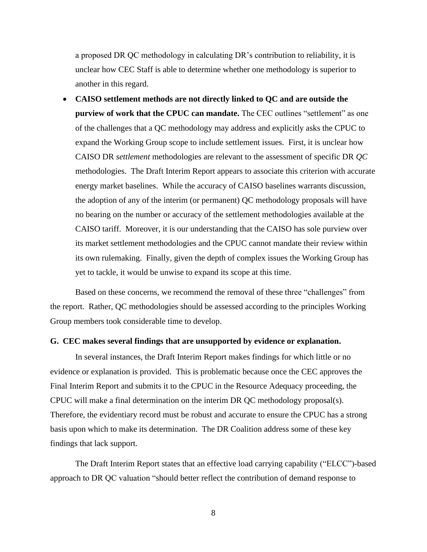a proposed DR QC methodology in calculating DR's contribution to reliability, it is unclear how CEC Staff is able to determine whether one methodology is superior to another in this regard.

• **CAISO settlement methods are not directly linked to QC and are outside the purview of work that the CPUC can mandate.** The CEC outlines "settlement" as one of the challenges that a QC methodology may address and explicitly asks the CPUC to expand the Working Group scope to include settlement issues. First, it is unclear how CAISO DR *settlement* methodologies are relevant to the assessment of specific DR *QC* methodologies. The Draft Interim Report appears to associate this criterion with accurate energy market baselines. While the accuracy of CAISO baselines warrants discussion, the adoption of any of the interim (or permanent) QC methodology proposals will have no bearing on the number or accuracy of the settlement methodologies available at the CAISO tariff. Moreover, it is our understanding that the CAISO has sole purview over its market settlement methodologies and the CPUC cannot mandate their review within its own rulemaking. Finally, given the depth of complex issues the Working Group has yet to tackle, it would be unwise to expand its scope at this time.

Based on these concerns, we recommend the removal of these three "challenges" from the report. Rather, QC methodologies should be assessed according to the principles Working Group members took considerable time to develop.

#### **G. CEC makes several findings that are unsupported by evidence or explanation.**

In several instances, the Draft Interim Report makes findings for which little or no evidence or explanation is provided. This is problematic because once the CEC approves the Final Interim Report and submits it to the CPUC in the Resource Adequacy proceeding, the CPUC will make a final determination on the interim DR QC methodology proposal(s). Therefore, the evidentiary record must be robust and accurate to ensure the CPUC has a strong basis upon which to make its determination. The DR Coalition address some of these key findings that lack support.

The Draft Interim Report states that an effective load carrying capability ("ELCC")-based approach to DR QC valuation "should better reflect the contribution of demand response to

8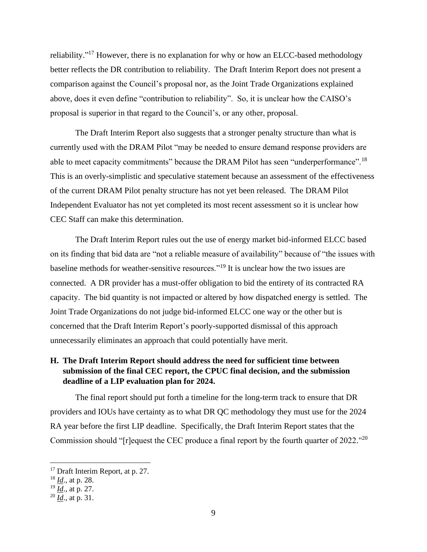reliability."<sup>17</sup> However, there is no explanation for why or how an ELCC-based methodology better reflects the DR contribution to reliability. The Draft Interim Report does not present a comparison against the Council's proposal nor, as the Joint Trade Organizations explained above, does it even define "contribution to reliability". So, it is unclear how the CAISO's proposal is superior in that regard to the Council's, or any other, proposal.

The Draft Interim Report also suggests that a stronger penalty structure than what is currently used with the DRAM Pilot "may be needed to ensure demand response providers are able to meet capacity commitments" because the DRAM Pilot has seen "underperformance".<sup>18</sup> This is an overly-simplistic and speculative statement because an assessment of the effectiveness of the current DRAM Pilot penalty structure has not yet been released. The DRAM Pilot Independent Evaluator has not yet completed its most recent assessment so it is unclear how CEC Staff can make this determination.

The Draft Interim Report rules out the use of energy market bid-informed ELCC based on its finding that bid data are "not a reliable measure of availability" because of "the issues with baseline methods for weather-sensitive resources."<sup>19</sup> It is unclear how the two issues are connected. A DR provider has a must-offer obligation to bid the entirety of its contracted RA capacity. The bid quantity is not impacted or altered by how dispatched energy is settled. The Joint Trade Organizations do not judge bid-informed ELCC one way or the other but is concerned that the Draft Interim Report's poorly-supported dismissal of this approach unnecessarily eliminates an approach that could potentially have merit.

# **H. The Draft Interim Report should address the need for sufficient time between submission of the final CEC report, the CPUC final decision, and the submission deadline of a LIP evaluation plan for 2024.**

The final report should put forth a timeline for the long-term track to ensure that DR providers and IOUs have certainty as to what DR QC methodology they must use for the 2024 RA year before the first LIP deadline. Specifically, the Draft Interim Report states that the Commission should "[r] equest the CEC produce a final report by the fourth quarter of  $2022$ ."<sup>20</sup>

<sup>&</sup>lt;sup>17</sup> Draft Interim Report, at p. 27.

<sup>18</sup> *Id*., at p. 28.

<sup>19</sup> *Id*., at p. 27.

<sup>20</sup> *Id*., at p. 31.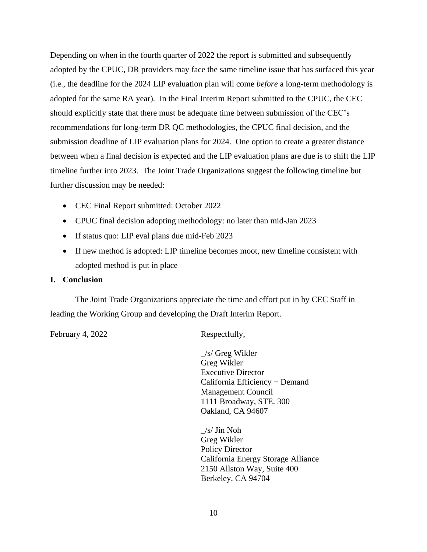Depending on when in the fourth quarter of 2022 the report is submitted and subsequently adopted by the CPUC, DR providers may face the same timeline issue that has surfaced this year (i.e., the deadline for the 2024 LIP evaluation plan will come *before* a long-term methodology is adopted for the same RA year). In the Final Interim Report submitted to the CPUC, the CEC should explicitly state that there must be adequate time between submission of the CEC's recommendations for long-term DR QC methodologies, the CPUC final decision, and the submission deadline of LIP evaluation plans for 2024. One option to create a greater distance between when a final decision is expected and the LIP evaluation plans are due is to shift the LIP timeline further into 2023. The Joint Trade Organizations suggest the following timeline but further discussion may be needed:

- CEC Final Report submitted: October 2022
- CPUC final decision adopting methodology: no later than mid-Jan 2023
- If status quo: LIP eval plans due mid-Feb 2023
- If new method is adopted: LIP timeline becomes moot, new timeline consistent with adopted method is put in place

#### **I. Conclusion**

The Joint Trade Organizations appreciate the time and effort put in by CEC Staff in leading the Working Group and developing the Draft Interim Report.

February 4, 2022 Respectfully,

\_/s/ Greg Wikler Greg Wikler Executive Director California Efficiency + Demand Management Council 1111 Broadway, STE. 300 Oakland, CA 94607

 $\frac{1}{s}$  Jin Noh Greg Wikler Policy Director California Energy Storage Alliance 2150 Allston Way, Suite 400 Berkeley, CA 94704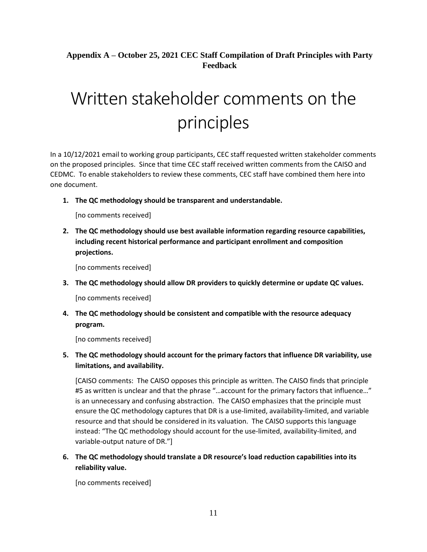# **Appendix A – October 25, 2021 CEC Staff Compilation of Draft Principles with Party Feedback**

# Written stakeholder comments on the principles

In a 10/12/2021 email to working group participants, CEC staff requested written stakeholder comments on the proposed principles. Since that time CEC staff received written comments from the CAISO and CEDMC. To enable stakeholders to review these comments, CEC staff have combined them here into one document.

**1. The QC methodology should be transparent and understandable.**

[no comments received]

**2. The QC methodology should use best available information regarding resource capabilities, including recent historical performance and participant enrollment and composition projections.**

[no comments received]

**3. The QC methodology should allow DR providers to quickly determine or update QC values.**

[no comments received]

**4. The QC methodology should be consistent and compatible with the resource adequacy program.**

[no comments received]

**5. The QC methodology should account for the primary factors that influence DR variability, use limitations, and availability.**

[CAISO comments: The CAISO opposes this principle as written. The CAISO finds that principle #5 as written is unclear and that the phrase "...account for the primary factors that influence..." is an unnecessary and confusing abstraction. The CAISO emphasizes that the principle must ensure the QC methodology captures that DR is a use-limited, availability-limited, and variable resource and that should be considered in its valuation. The CAISO supports this language instead: "The QC methodology should account for the use-limited, availability-limited, and variable-output nature of DR."]

**6. The QC methodology should translate a DR resource's load reduction capabilities into its reliability value.**

[no comments received]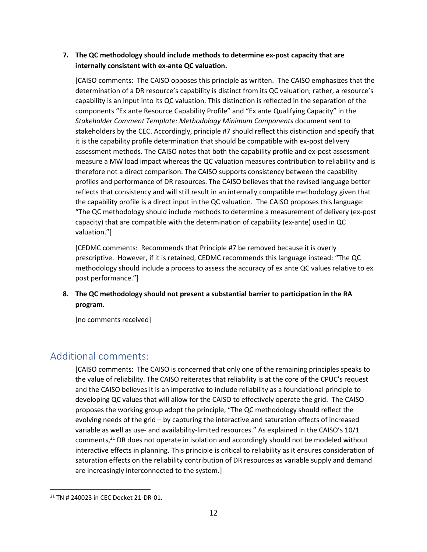## **7. The QC methodology should include methods to determine ex-post capacity that are internally consistent with ex-ante QC valuation.**

[CAISO comments: The CAISO opposes this principle as written. The CAISO emphasizes that the determination of a DR resource's capability is distinct from its QC valuation; rather, a resource's capability is an input into its QC valuation. This distinction is reflected in the separation of the components "Ex ante Resource Capability Profile" and "Ex ante Qualifying Capacity" in the *Stakeholder Comment Template: Methodology Minimum Components* document sent to stakeholders by the CEC. Accordingly, principle #7 should reflect this distinction and specify that it is the capability profile determination that should be compatible with ex-post delivery assessment methods. The CAISO notes that both the capability profile and ex-post assessment measure a MW load impact whereas the QC valuation measures contribution to reliability and is therefore not a direct comparison. The CAISO supports consistency between the capability profiles and performance of DR resources. The CAISO believes that the revised language better reflects that consistency and will still result in an internally compatible methodology given that the capability profile is a direct input in the QC valuation. The CAISO proposes this language: "The QC methodology should include methods to determine a measurement of delivery (ex-post capacity) that are compatible with the determination of capability (ex-ante) used in QC valuation."]

[CEDMC comments: Recommends that Principle #7 be removed because it is overly prescriptive. However, if it is retained, CEDMC recommends this language instead: "The QC methodology should include a process to assess the accuracy of ex ante QC values relative to ex post performance."]

## **8. The QC methodology should not present a substantial barrier to participation in the RA program.**

[no comments received]

# Additional comments:

[CAISO comments: The CAISO is concerned that only one of the remaining principles speaks to the value of reliability. The CAISO reiterates that reliability is at the core of the CPUC's request and the CAISO believes it is an imperative to include reliability as a foundational principle to developing QC values that will allow for the CAISO to effectively operate the grid. The CAISO proposes the working group adopt the principle, "The QC methodology should reflect the evolving needs of the grid – by capturing the interactive and saturation effects of increased variable as well as use- and availability-limited resources." As explained in the CAISO's 10/1 comments,<sup>21</sup> DR does not operate in isolation and accordingly should not be modeled without interactive effects in planning. This principle is critical to reliability as it ensures consideration of saturation effects on the reliability contribution of DR resources as variable supply and demand are increasingly interconnected to the system.]

<sup>21</sup> TN # 240023 in CEC Docket 21-DR-01.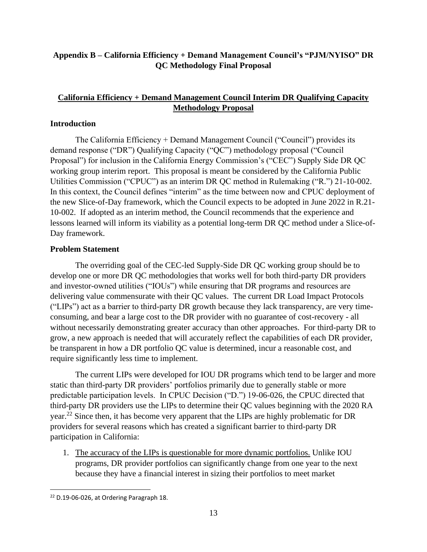# **Appendix B – California Efficiency + Demand Management Council's "PJM/NYISO" DR QC Methodology Final Proposal**

# **California Efficiency + Demand Management Council Interim DR Qualifying Capacity Methodology Proposal**

## **Introduction**

The California Efficiency + Demand Management Council ("Council") provides its demand response ("DR") Qualifying Capacity ("QC") methodology proposal ("Council Proposal") for inclusion in the California Energy Commission's ("CEC") Supply Side DR QC working group interim report. This proposal is meant be considered by the California Public Utilities Commission ("CPUC") as an interim DR QC method in Rulemaking ("R.") 21-10-002. In this context, the Council defines "interim" as the time between now and CPUC deployment of the new Slice-of-Day framework, which the Council expects to be adopted in June 2022 in R.21- 10-002. If adopted as an interim method, the Council recommends that the experience and lessons learned will inform its viability as a potential long-term DR QC method under a Slice-of-Day framework.

## **Problem Statement**

The overriding goal of the CEC-led Supply-Side DR QC working group should be to develop one or more DR QC methodologies that works well for both third-party DR providers and investor-owned utilities ("IOUs") while ensuring that DR programs and resources are delivering value commensurate with their QC values. The current DR Load Impact Protocols ("LIPs") act as a barrier to third-party DR growth because they lack transparency, are very timeconsuming, and bear a large cost to the DR provider with no guarantee of cost-recovery - all without necessarily demonstrating greater accuracy than other approaches. For third-party DR to grow, a new approach is needed that will accurately reflect the capabilities of each DR provider, be transparent in how a DR portfolio QC value is determined, incur a reasonable cost, and require significantly less time to implement.

The current LIPs were developed for IOU DR programs which tend to be larger and more static than third-party DR providers' portfolios primarily due to generally stable or more predictable participation levels. In CPUC Decision ("D.") 19-06-026, the CPUC directed that third-party DR providers use the LIPs to determine their QC values beginning with the 2020 RA year.<sup>22</sup> Since then, it has become very apparent that the LIPs are highly problematic for DR providers for several reasons which has created a significant barrier to third-party DR participation in California:

1. The accuracy of the LIPs is questionable for more dynamic portfolios. Unlike IOU programs, DR provider portfolios can significantly change from one year to the next because they have a financial interest in sizing their portfolios to meet market

<sup>&</sup>lt;sup>22</sup> D.19-06-026, at Ordering Paragraph 18.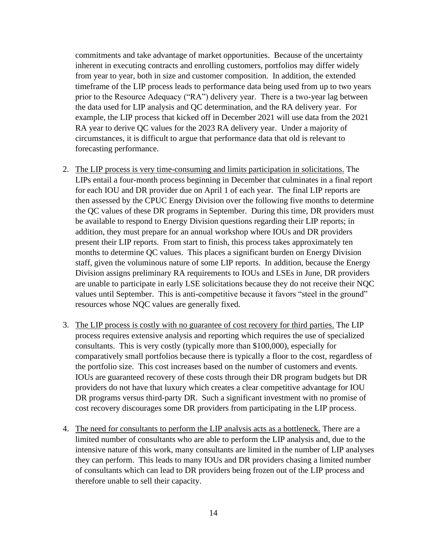commitments and take advantage of market opportunities. Because of the uncertainty inherent in executing contracts and enrolling customers, portfolios may differ widely from year to year, both in size and customer composition. In addition, the extended timeframe of the LIP process leads to performance data being used from up to two years prior to the Resource Adequacy ("RA") delivery year. There is a two-year lag between the data used for LIP analysis and QC determination, and the RA delivery year. For example, the LIP process that kicked off in December 2021 will use data from the 2021 RA year to derive QC values for the 2023 RA delivery year. Under a majority of circumstances, it is difficult to argue that performance data that old is relevant to forecasting performance.

- 2. The LIP process is very time-consuming and limits participation in solicitations. The LIPs entail a four-month process beginning in December that culminates in a final report for each IOU and DR provider due on April 1 of each year. The final LIP reports are then assessed by the CPUC Energy Division over the following five months to determine the QC values of these DR programs in September. During this time, DR providers must be available to respond to Energy Division questions regarding their LIP reports; in addition, they must prepare for an annual workshop where IOUs and DR providers present their LIP reports. From start to finish, this process takes approximately ten months to determine QC values. This places a significant burden on Energy Division staff, given the voluminous nature of some LIP reports. In addition, because the Energy Division assigns preliminary RA requirements to IOUs and LSEs in June, DR providers are unable to participate in early LSE solicitations because they do not receive their NQC values until September. This is anti-competitive because it favors "steel in the ground" resources whose NQC values are generally fixed.
- 3. The LIP process is costly with no guarantee of cost recovery for third parties. The LIP process requires extensive analysis and reporting which requires the use of specialized consultants. This is very costly (typically more than \$100,000), especially for comparatively small portfolios because there is typically a floor to the cost, regardless of the portfolio size. This cost increases based on the number of customers and events. IOUs are guaranteed recovery of these costs through their DR program budgets but DR providers do not have that luxury which creates a clear competitive advantage for IOU DR programs versus third-party DR. Such a significant investment with no promise of cost recovery discourages some DR providers from participating in the LIP process.
- 4. The need for consultants to perform the LIP analysis acts as a bottleneck. There are a limited number of consultants who are able to perform the LIP analysis and, due to the intensive nature of this work, many consultants are limited in the number of LIP analyses they can perform. This leads to many IOUs and DR providers chasing a limited number of consultants which can lead to DR providers being frozen out of the LIP process and therefore unable to sell their capacity.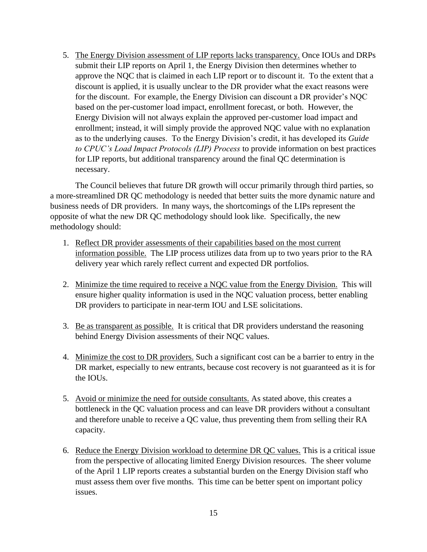5. The Energy Division assessment of LIP reports lacks transparency. Once IOUs and DRPs submit their LIP reports on April 1, the Energy Division then determines whether to approve the NQC that is claimed in each LIP report or to discount it. To the extent that a discount is applied, it is usually unclear to the DR provider what the exact reasons were for the discount. For example, the Energy Division can discount a DR provider's NQC based on the per-customer load impact, enrollment forecast, or both. However, the Energy Division will not always explain the approved per-customer load impact and enrollment; instead, it will simply provide the approved NQC value with no explanation as to the underlying causes. To the Energy Division's credit, it has developed its *Guide to CPUC's Load Impact Protocols (LIP) Process* to provide information on best practices for LIP reports, but additional transparency around the final QC determination is necessary.

The Council believes that future DR growth will occur primarily through third parties, so a more-streamlined DR QC methodology is needed that better suits the more dynamic nature and business needs of DR providers. In many ways, the shortcomings of the LIPs represent the opposite of what the new DR QC methodology should look like. Specifically, the new methodology should:

- 1. Reflect DR provider assessments of their capabilities based on the most current information possible. The LIP process utilizes data from up to two years prior to the RA delivery year which rarely reflect current and expected DR portfolios.
- 2. Minimize the time required to receive a NQC value from the Energy Division. This will ensure higher quality information is used in the NQC valuation process, better enabling DR providers to participate in near-term IOU and LSE solicitations.
- 3. Be as transparent as possible. It is critical that DR providers understand the reasoning behind Energy Division assessments of their NQC values.
- 4. Minimize the cost to DR providers. Such a significant cost can be a barrier to entry in the DR market, especially to new entrants, because cost recovery is not guaranteed as it is for the IOUs.
- 5. Avoid or minimize the need for outside consultants. As stated above, this creates a bottleneck in the QC valuation process and can leave DR providers without a consultant and therefore unable to receive a QC value, thus preventing them from selling their RA capacity.
- 6. Reduce the Energy Division workload to determine DR QC values. This is a critical issue from the perspective of allocating limited Energy Division resources. The sheer volume of the April 1 LIP reports creates a substantial burden on the Energy Division staff who must assess them over five months. This time can be better spent on important policy issues.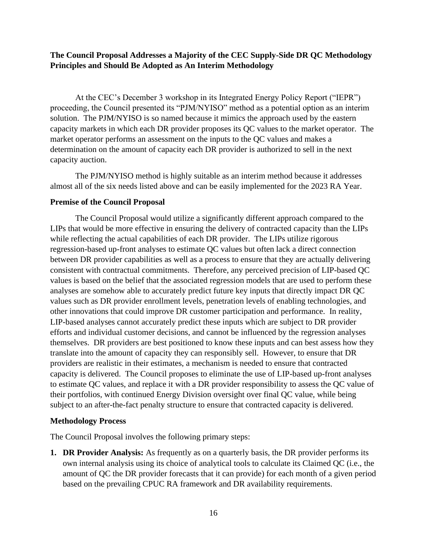## **The Council Proposal Addresses a Majority of the CEC Supply-Side DR QC Methodology Principles and Should Be Adopted as An Interim Methodology**

At the CEC's December 3 workshop in its Integrated Energy Policy Report ("IEPR") proceeding, the Council presented its "PJM/NYISO" method as a potential option as an interim solution. The PJM/NYISO is so named because it mimics the approach used by the eastern capacity markets in which each DR provider proposes its QC values to the market operator. The market operator performs an assessment on the inputs to the QC values and makes a determination on the amount of capacity each DR provider is authorized to sell in the next capacity auction.

The PJM/NYISO method is highly suitable as an interim method because it addresses almost all of the six needs listed above and can be easily implemented for the 2023 RA Year.

#### **Premise of the Council Proposal**

The Council Proposal would utilize a significantly different approach compared to the LIPs that would be more effective in ensuring the delivery of contracted capacity than the LIPs while reflecting the actual capabilities of each DR provider. The LIPs utilize rigorous regression-based up-front analyses to estimate QC values but often lack a direct connection between DR provider capabilities as well as a process to ensure that they are actually delivering consistent with contractual commitments. Therefore, any perceived precision of LIP-based QC values is based on the belief that the associated regression models that are used to perform these analyses are somehow able to accurately predict future key inputs that directly impact DR QC values such as DR provider enrollment levels, penetration levels of enabling technologies, and other innovations that could improve DR customer participation and performance. In reality, LIP-based analyses cannot accurately predict these inputs which are subject to DR provider efforts and individual customer decisions, and cannot be influenced by the regression analyses themselves. DR providers are best positioned to know these inputs and can best assess how they translate into the amount of capacity they can responsibly sell. However, to ensure that DR providers are realistic in their estimates, a mechanism is needed to ensure that contracted capacity is delivered. The Council proposes to eliminate the use of LIP-based up-front analyses to estimate QC values, and replace it with a DR provider responsibility to assess the QC value of their portfolios, with continued Energy Division oversight over final QC value, while being subject to an after-the-fact penalty structure to ensure that contracted capacity is delivered.

#### **Methodology Process**

The Council Proposal involves the following primary steps:

**1. DR Provider Analysis:** As frequently as on a quarterly basis, the DR provider performs its own internal analysis using its choice of analytical tools to calculate its Claimed QC (i.e., the amount of QC the DR provider forecasts that it can provide) for each month of a given period based on the prevailing CPUC RA framework and DR availability requirements.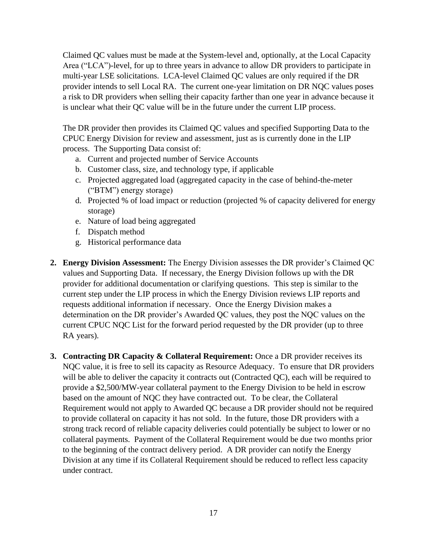Claimed QC values must be made at the System-level and, optionally, at the Local Capacity Area ("LCA")-level, for up to three years in advance to allow DR providers to participate in multi-year LSE solicitations. LCA-level Claimed QC values are only required if the DR provider intends to sell Local RA. The current one-year limitation on DR NQC values poses a risk to DR providers when selling their capacity farther than one year in advance because it is unclear what their QC value will be in the future under the current LIP process.

The DR provider then provides its Claimed QC values and specified Supporting Data to the CPUC Energy Division for review and assessment, just as is currently done in the LIP process. The Supporting Data consist of:

- a. Current and projected number of Service Accounts
- b. Customer class, size, and technology type, if applicable
- c. Projected aggregated load (aggregated capacity in the case of behind-the-meter ("BTM") energy storage)
- d. Projected % of load impact or reduction (projected % of capacity delivered for energy storage)
- e. Nature of load being aggregated
- f. Dispatch method
- g. Historical performance data
- **2. Energy Division Assessment:** The Energy Division assesses the DR provider's Claimed QC values and Supporting Data. If necessary, the Energy Division follows up with the DR provider for additional documentation or clarifying questions. This step is similar to the current step under the LIP process in which the Energy Division reviews LIP reports and requests additional information if necessary. Once the Energy Division makes a determination on the DR provider's Awarded QC values, they post the NQC values on the current CPUC NQC List for the forward period requested by the DR provider (up to three RA years).
- **3. Contracting DR Capacity & Collateral Requirement:** Once a DR provider receives its NQC value, it is free to sell its capacity as Resource Adequacy. To ensure that DR providers will be able to deliver the capacity it contracts out (Contracted QC), each will be required to provide a \$2,500/MW-year collateral payment to the Energy Division to be held in escrow based on the amount of NQC they have contracted out. To be clear, the Collateral Requirement would not apply to Awarded QC because a DR provider should not be required to provide collateral on capacity it has not sold. In the future, those DR providers with a strong track record of reliable capacity deliveries could potentially be subject to lower or no collateral payments. Payment of the Collateral Requirement would be due two months prior to the beginning of the contract delivery period. A DR provider can notify the Energy Division at any time if its Collateral Requirement should be reduced to reflect less capacity under contract.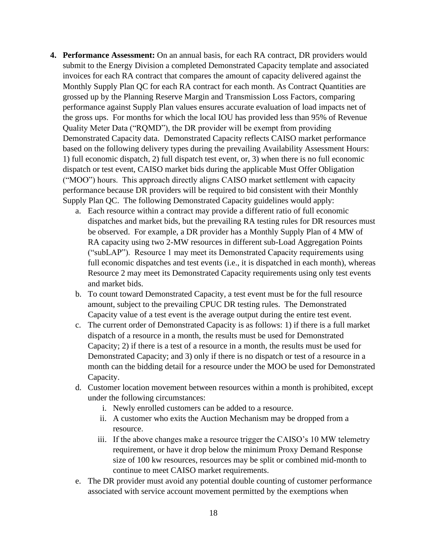- **4. Performance Assessment:** On an annual basis, for each RA contract, DR providers would submit to the Energy Division a completed Demonstrated Capacity template and associated invoices for each RA contract that compares the amount of capacity delivered against the Monthly Supply Plan QC for each RA contract for each month. As Contract Quantities are grossed up by the Planning Reserve Margin and Transmission Loss Factors, comparing performance against Supply Plan values ensures accurate evaluation of load impacts net of the gross ups. For months for which the local IOU has provided less than 95% of Revenue Quality Meter Data ("RQMD"), the DR provider will be exempt from providing Demonstrated Capacity data. Demonstrated Capacity reflects CAISO market performance based on the following delivery types during the prevailing Availability Assessment Hours: 1) full economic dispatch, 2) full dispatch test event, or, 3) when there is no full economic dispatch or test event, CAISO market bids during the applicable Must Offer Obligation ("MOO") hours. This approach directly aligns CAISO market settlement with capacity performance because DR providers will be required to bid consistent with their Monthly Supply Plan QC. The following Demonstrated Capacity guidelines would apply:
	- a. Each resource within a contract may provide a different ratio of full economic dispatches and market bids, but the prevailing RA testing rules for DR resources must be observed. For example, a DR provider has a Monthly Supply Plan of 4 MW of RA capacity using two 2-MW resources in different sub-Load Aggregation Points ("subLAP"). Resource 1 may meet its Demonstrated Capacity requirements using full economic dispatches and test events (i.e., it is dispatched in each month), whereas Resource 2 may meet its Demonstrated Capacity requirements using only test events and market bids.
	- b. To count toward Demonstrated Capacity, a test event must be for the full resource amount, subject to the prevailing CPUC DR testing rules. The Demonstrated Capacity value of a test event is the average output during the entire test event.
	- c. The current order of Demonstrated Capacity is as follows: 1) if there is a full market dispatch of a resource in a month, the results must be used for Demonstrated Capacity; 2) if there is a test of a resource in a month, the results must be used for Demonstrated Capacity; and 3) only if there is no dispatch or test of a resource in a month can the bidding detail for a resource under the MOO be used for Demonstrated Capacity.
	- d. Customer location movement between resources within a month is prohibited, except under the following circumstances:
		- i. Newly enrolled customers can be added to a resource.
		- ii. A customer who exits the Auction Mechanism may be dropped from a resource.
		- iii. If the above changes make a resource trigger the CAISO's 10 MW telemetry requirement, or have it drop below the minimum Proxy Demand Response size of 100 kw resources, resources may be split or combined mid-month to continue to meet CAISO market requirements.
	- e. The DR provider must avoid any potential double counting of customer performance associated with service account movement permitted by the exemptions when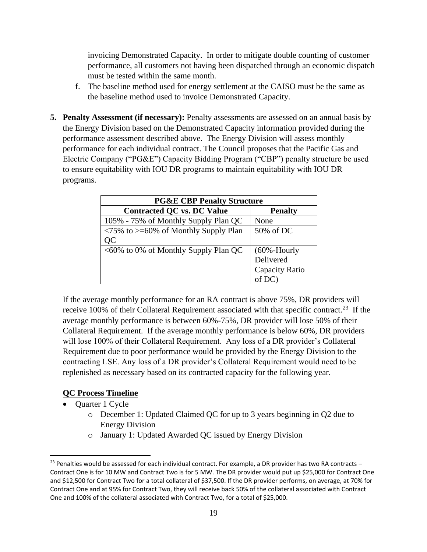invoicing Demonstrated Capacity. In order to mitigate double counting of customer performance, all customers not having been dispatched through an economic dispatch must be tested within the same month.

- f. The baseline method used for energy settlement at the CAISO must be the same as the baseline method used to invoice Demonstrated Capacity.
- **5. Penalty Assessment (if necessary):** Penalty assessments are assessed on an annual basis by the Energy Division based on the Demonstrated Capacity information provided during the performance assessment described above. The Energy Division will assess monthly performance for each individual contract. The Council proposes that the Pacific Gas and Electric Company ("PG&E") Capacity Bidding Program ("CBP") penalty structure be used to ensure equitability with IOU DR programs to maintain equitability with IOU DR programs.

| <b>PG&amp;E CBP Penalty Structure</b>                                    |                 |  |
|--------------------------------------------------------------------------|-----------------|--|
| <b>Contracted QC vs. DC Value</b>                                        | <b>Penalty</b>  |  |
| 105% - 75% of Monthly Supply Plan QC                                     | None            |  |
| $\langle 75\% \text{ to } \rangle = 60\% \text{ of Monthly Supply Plan}$ | 50% of DC       |  |
| QC                                                                       |                 |  |
| <60% to 0% of Monthly Supply Plan QC                                     | $(60% - Hourly$ |  |
|                                                                          | Delivered       |  |
|                                                                          | Capacity Ratio  |  |
|                                                                          |                 |  |

If the average monthly performance for an RA contract is above 75%, DR providers will receive 100% of their Collateral Requirement associated with that specific contract.<sup>23</sup> If the average monthly performance is between 60%-75%, DR provider will lose 50% of their Collateral Requirement. If the average monthly performance is below 60%, DR providers will lose 100% of their Collateral Requirement. Any loss of a DR provider's Collateral Requirement due to poor performance would be provided by the Energy Division to the contracting LSE. Any loss of a DR provider's Collateral Requirement would need to be replenished as necessary based on its contracted capacity for the following year.

# **QC Process Timeline**

- Quarter 1 Cycle
	- o December 1: Updated Claimed QC for up to 3 years beginning in Q2 due to Energy Division
	- o January 1: Updated Awarded QC issued by Energy Division

 $^{23}$  Penalties would be assessed for each individual contract. For example, a DR provider has two RA contracts – Contract One is for 10 MW and Contract Two is for 5 MW. The DR provider would put up \$25,000 for Contract One and \$12,500 for Contract Two for a total collateral of \$37,500. If the DR provider performs, on average, at 70% for Contract One and at 95% for Contract Two, they will receive back 50% of the collateral associated with Contract One and 100% of the collateral associated with Contract Two, for a total of \$25,000.